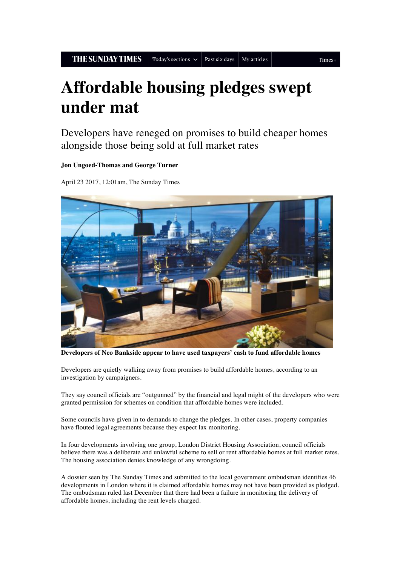```
Times+
```
## **Affordable housing pledges swept under mat**

Developers have reneged on promises to build cheaper homes alongside those being sold at full market rates

## **Jon Ungoed-Thomas and George Turner**

April 23 2017, 12:01am, The Sunday Times



**Developers of Neo Bankside appear to have used taxpayers' cash to fund affordable homes**

Developers are quietly walking away from promises to build affordable homes, according to an investigation by campaigners.

They say council officials are "outgunned" by the financial and legal might of the developers who were granted permission for schemes on condition that affordable homes were included.

Some councils have given in to demands to change the pledges. In other cases, property companies have flouted legal agreements because they expect lax monitoring.

In four developments involving one group, London District Housing Association, council officials believe there was a deliberate and unlawful scheme to sell or rent affordable homes at full market rates. The housing association denies knowledge of any wrongdoing.

A dossier seen by The Sunday Times and submitted to the local government ombudsman identifies 46 developments in London where it is claimed affordable homes may not have been provided as pledged. The ombudsman ruled last December that there had been a failure in monitoring the delivery of affordable homes, including the rent levels charged.